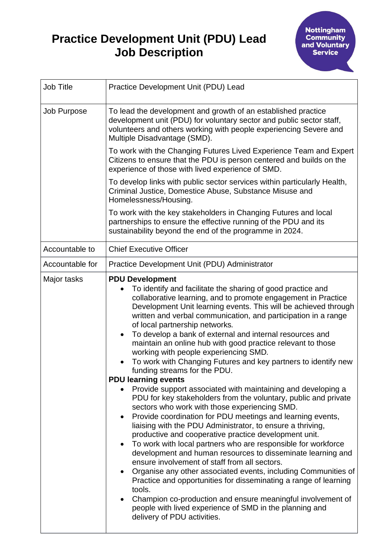## **Practice Development Unit (PDU) Lead Job Description**

| Job Title       | Practice Development Unit (PDU) Lead                                                                                                                                                                                                                                                                                                                                                                                                                                                                                                                                                                                                                                                                                                                                                                                                                                                                                                                                                                                                                                                                                                                                                                                                                                                                                                                                                                                                                                                                 |
|-----------------|------------------------------------------------------------------------------------------------------------------------------------------------------------------------------------------------------------------------------------------------------------------------------------------------------------------------------------------------------------------------------------------------------------------------------------------------------------------------------------------------------------------------------------------------------------------------------------------------------------------------------------------------------------------------------------------------------------------------------------------------------------------------------------------------------------------------------------------------------------------------------------------------------------------------------------------------------------------------------------------------------------------------------------------------------------------------------------------------------------------------------------------------------------------------------------------------------------------------------------------------------------------------------------------------------------------------------------------------------------------------------------------------------------------------------------------------------------------------------------------------------|
| Job Purpose     | To lead the development and growth of an established practice<br>development unit (PDU) for voluntary sector and public sector staff,<br>volunteers and others working with people experiencing Severe and<br>Multiple Disadvantage (SMD).                                                                                                                                                                                                                                                                                                                                                                                                                                                                                                                                                                                                                                                                                                                                                                                                                                                                                                                                                                                                                                                                                                                                                                                                                                                           |
|                 | To work with the Changing Futures Lived Experience Team and Expert<br>Citizens to ensure that the PDU is person centered and builds on the<br>experience of those with lived experience of SMD.                                                                                                                                                                                                                                                                                                                                                                                                                                                                                                                                                                                                                                                                                                                                                                                                                                                                                                                                                                                                                                                                                                                                                                                                                                                                                                      |
|                 | To develop links with public sector services within particularly Health,<br>Criminal Justice, Domestice Abuse, Substance Misuse and<br>Homelessness/Housing.                                                                                                                                                                                                                                                                                                                                                                                                                                                                                                                                                                                                                                                                                                                                                                                                                                                                                                                                                                                                                                                                                                                                                                                                                                                                                                                                         |
|                 | To work with the key stakeholders in Changing Futures and local<br>partnerships to ensure the effective running of the PDU and its<br>sustainability beyond the end of the programme in 2024.                                                                                                                                                                                                                                                                                                                                                                                                                                                                                                                                                                                                                                                                                                                                                                                                                                                                                                                                                                                                                                                                                                                                                                                                                                                                                                        |
| Accountable to  | <b>Chief Executive Officer</b>                                                                                                                                                                                                                                                                                                                                                                                                                                                                                                                                                                                                                                                                                                                                                                                                                                                                                                                                                                                                                                                                                                                                                                                                                                                                                                                                                                                                                                                                       |
| Accountable for | Practice Development Unit (PDU) Administrator                                                                                                                                                                                                                                                                                                                                                                                                                                                                                                                                                                                                                                                                                                                                                                                                                                                                                                                                                                                                                                                                                                                                                                                                                                                                                                                                                                                                                                                        |
| Major tasks     | <b>PDU Development</b><br>To identify and facilitate the sharing of good practice and<br>collaborative learning, and to promote engagement in Practice<br>Development Unit learning events. This will be achieved through<br>written and verbal communication, and participation in a range<br>of local partnership networks.<br>To develop a bank of external and internal resources and<br>maintain an online hub with good practice relevant to those<br>working with people experiencing SMD.<br>To work with Changing Futures and key partners to identify new<br>funding streams for the PDU.<br><b>PDU learning events</b><br>Provide support associated with maintaining and developing a<br>PDU for key stakeholders from the voluntary, public and private<br>sectors who work with those experiencing SMD.<br>Provide coordination for PDU meetings and learning events,<br>liaising with the PDU Administrator, to ensure a thriving,<br>productive and cooperative practice development unit.<br>To work with local partners who are responsible for workforce<br>development and human resources to disseminate learning and<br>ensure involvement of staff from all sectors.<br>Organise any other associated events, including Communities of<br>Practice and opportunities for disseminating a range of learning<br>tools.<br>Champion co-production and ensure meaningful involvement of<br>people with lived experience of SMD in the planning and<br>delivery of PDU activities. |